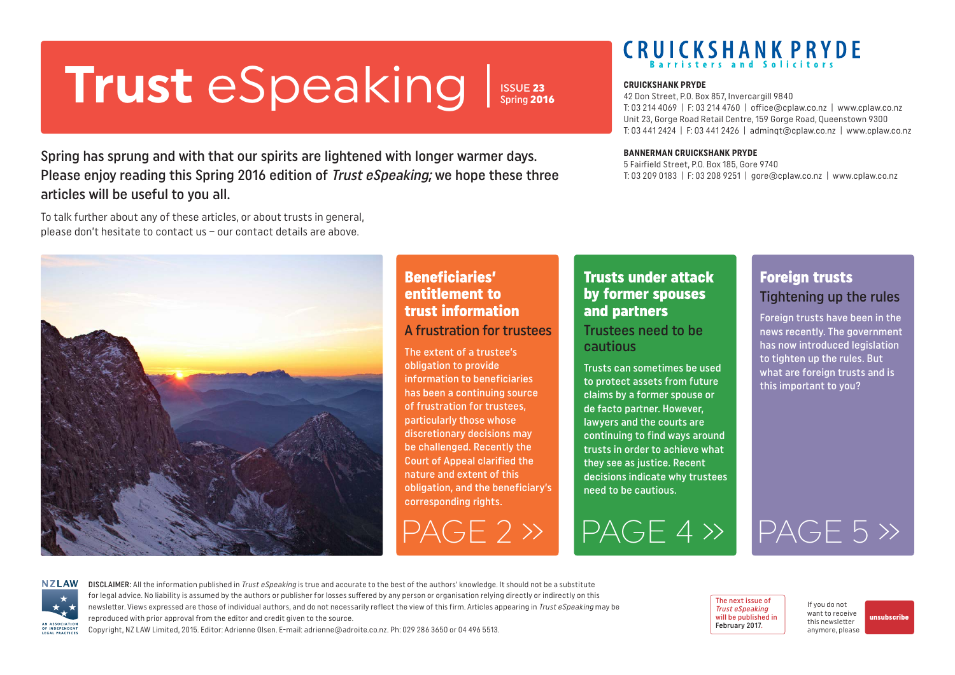# <span id="page-0-0"></span>**Trust** eSpeaking **CRUICKSHANK PRYDE**

ISSUE 23 Spring 2016

Spring has sprung and with that our spirits are lightened with longer warmer days. Please enjoy reading this Spring 2016 edition of Trust eSpeaking; we hope these three articles will be useful to you all.

To talk further about any of these articles, or about trusts in general, please don't hesitate to contact us – our contact details are above.



### Beneficiaries' entitlement to trust information A frustration for trustees

The extent of a trustee's obligation to provide information to beneficiaries has been a continuing source of frustration for trustees, particularly those whose discretionary decisions may be challenged. Recently the Court of Appeal clarified the nature and extent of this obligation, and the beneficiary's corresponding rights.

### Trusts under attack by former spouses and partners Trustees need to be cautious

Trusts can sometimes be used to protect assets from future claims by a former spouse or de facto partner. However, lawyers and the courts are continuing to find ways around trusts in order to achieve what they see as justice. Recent decisions indicate why trustees need to be cautious.

42 Don Street, P.O. Box 857, Invercargill 9840 T: 03 214 4069 | F: 03 214 4760 | office@cplaw.co.nz | www.cplaw.co.nz Unit 23, Gorge Road Retail Centre, 159 Gorge Road, Queenstown 9300 T: 03 441 2424 | F: 03 441 2426 | adminqt@cplaw.co.nz | www.cplaw.co.nz

#### **BANNERMAN CRUICKSHANK PRYDE**

5 Fairfield Street, P.O. Box 185, Gore 9740 T: 03 209 0183 | F: 03 208 9251 | gore@cplaw.co.nz | www.cplaw.co.nz

### Foreign trusts Tightening up the rules

Foreign trusts have been in the news recently. The government has now introduced legislation to tighten up the rules. But what are foreign trusts and is this important to you?

[PAGE 2 »](#page-1-0) [PAGE 4 »](#page-3-0) [PAGE 5 »](#page-4-0)



DISCLAIMER: All the information published in Trust eSpeaking is true and accurate to the best of the authors' knowledge. It should not be a substitute for legal advice. No liability is assumed by the authors or publisher for losses suffered by any person or organisation relying directly or indirectly on this newsletter. Views expressed are those of individual authors, and do not necessarily reflect the view of this firm. Articles appearing in Trust eSpeaking may be reproduced with prior approval from the editor and credit given to the source.

Copyright, NZ LAW Limited, 2015. Editor: Adrienne Olsen. [E-mail: adrienne@adroite.co.nz](mailto:adrienne@adroite.co.nz). Ph: 029 286 3650 or 04 496 5513.

The next issue of Trust eSpeaking will be published in February 2017.

If you do not want to receive this newsletter anymore, please

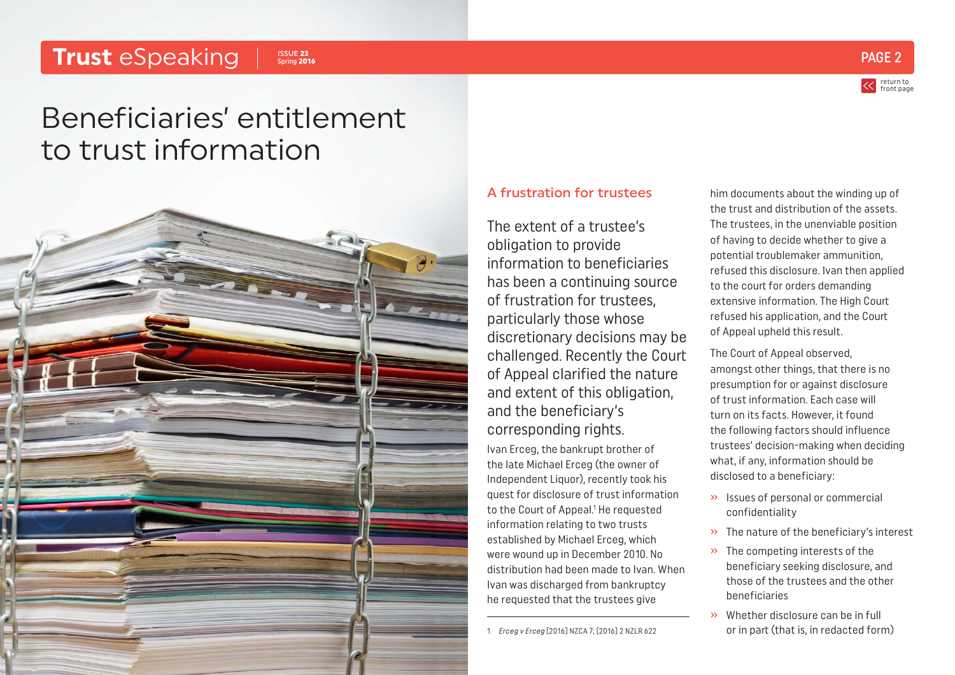#### <span id="page-1-0"></span>**Trust** eSpeaking Issue 23 Spring 2016



return to [front page](#page-0-0)

# Beneficiaries' entitlement to trust information



### A frustration for trustees

The extent of a trustee's obligation to provide information to beneficiaries has been a continuing source of frustration for trustees, particularly those whose discretionary decisions may be challenged. Recently the Court of Appeal clarified the nature and extent of this obligation, and the beneficiary's corresponding rights. Ivan Erceg, the bankrupt brother of the late Michael Erceg (the owner of Independent Liquor), recently took his quest for disclosure of trust information to the Court of Appeal.<sup>1</sup> He requested information relating to two trusts established by Michael Erceg, which were wound up in December 2010. No distribution had been made to Ivan. When Ivan was discharged from bankruptcy he requested that the trustees give

1 Erceg v Erceg [2016] NZCA 7; [2016] 2 NZLR 622

him documents about the winding up of the trust and distribution of the assets. The trustees, in the unenviable position of having to decide whether to give a potential troublemaker ammunition, refused this disclosure. Ivan then applied to the court for orders demanding extensive information. The High Court refused his application, and the Court of Appeal upheld this result.

The Court of Appeal observed, amongst other things, that there is no presumption for or against disclosure of trust information. Each case will turn on its facts. However, it found the following factors should influence trustees' decision-making when deciding what, if any, information should be disclosed to a beneficiary:

- » Issues of personal or commercial confidentiality
- » The nature of the beneficiary's interest
- » The competing interests of the beneficiary seeking disclosure, and those of the trustees and the other beneficiaries
- » Whether disclosure can be in full or in part (that is, in redacted form)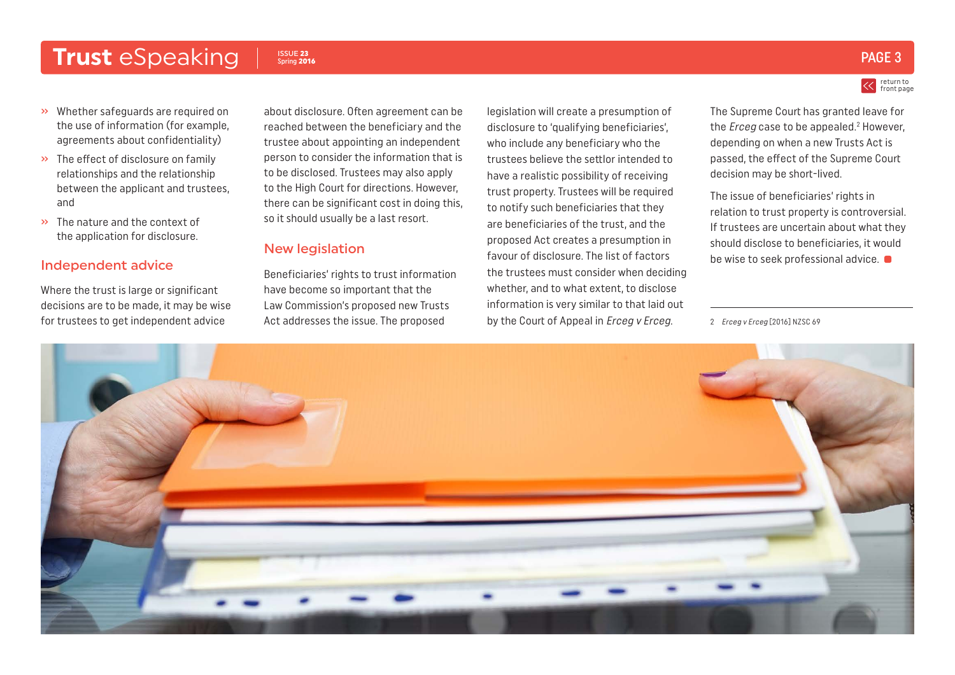### Trust eSpeaking Issue 23

### ISSUE 23  $_{\rm{Spring\,2016}}$   $\rm{PAGE\,3}$

- » Whether safeguards are required on the use of information (for example, agreements about confidentiality)
- » The effect of disclosure on family relationships and the relationship between the applicant and trustees, and
- » The nature and the context of the application for disclosure.

### Independent advice

Where the trust is large or significant decisions are to be made, it may be wise for trustees to get independent advice

about disclosure. Often agreement can be reached between the beneficiary and the trustee about appointing an independent person to consider the information that is to be disclosed. Trustees may also apply to the High Court for directions. However, there can be significant cost in doing this, so it should usually be a last resort.

#### New legislation

Beneficiaries' rights to trust information have become so important that the Law Commission's proposed new Trusts Act addresses the issue. The proposed

legislation will create a presumption of disclosure to 'qualifying beneficiaries', who include any beneficiary who the trustees believe the settlor intended to have a realistic possibility of receiving trust property. Trustees will be required to notify such beneficiaries that they are beneficiaries of the trust, and the proposed Act creates a presumption in favour of disclosure. The list of factors the trustees must consider when deciding whether, and to what extent, to disclose information is very similar to that laid out by the Court of Appeal in Erceg v Erceg.





The Supreme Court has granted leave for the *Erceg* case to be appealed.<sup>2</sup> However, depending on when a new Trusts Act is passed, the effect of the Supreme Court decision may be short-lived.

The issue of beneficiaries' rights in relation to trust property is controversial. If trustees are uncertain about what they should disclose to beneficiaries, it would be wise to seek professional advice.  $\bullet$ 

2 Erceg v Erceg [2016] NZSC 69

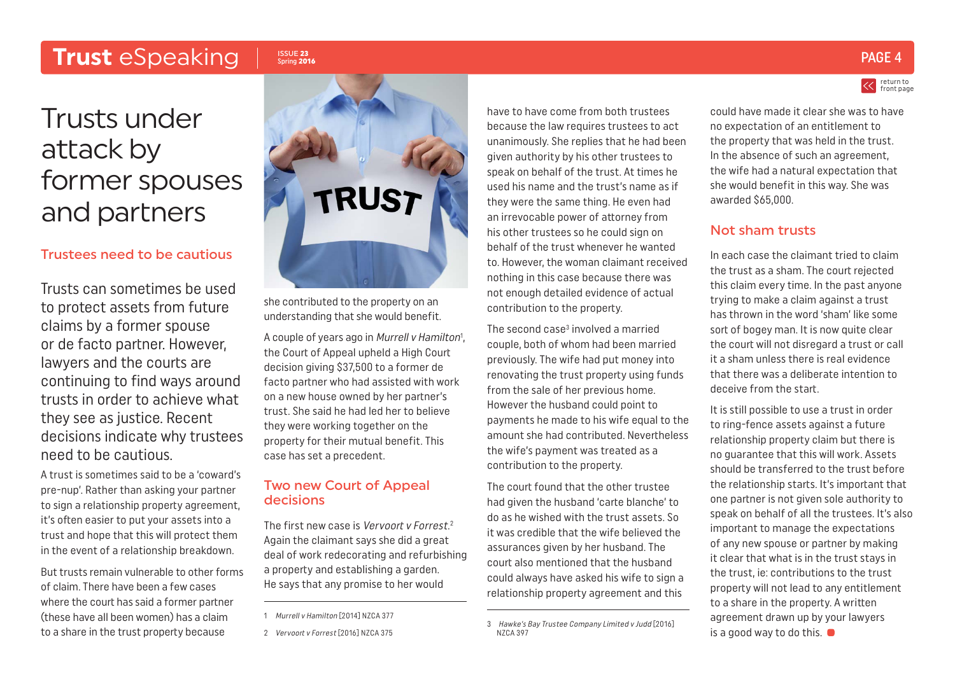### <span id="page-3-0"></span>Trust eSpeaking Issue 23

# Trusts under attack by former spouses and partners

### Trustees need to be cautious

Trusts can sometimes be used to protect assets from future claims by a former spouse or de facto partner. However, lawyers and the courts are continuing to find ways around trusts in order to achieve what they see as justice. Recent decisions indicate why trustees need to be cautious.

A trust is sometimes said to be a 'coward's pre-nup'. Rather than asking your partner to sign a relationship property agreement, it's often easier to put your assets into a trust and hope that this will protect them in the event of a relationship breakdown.

But trusts remain vulnerable to other forms of claim. There have been a few cases where the court has said a former partner (these have all been women) has a claim to a share in the trust property because



she contributed to the property on an understanding that she would benefit.

A couple of years ago in *Murrell v Hamilton*<sup>1</sup>, the Court of Appeal upheld a High Court decision giving \$37,500 to a former de facto partner who had assisted with work on a new house owned by her partner's trust. She said he had led her to believe they were working together on the property for their mutual benefit. This case has set a precedent.

### Two new Court of Appeal decisions

The first new case is Vervoort v Forrest.<sup>2</sup> Again the claimant says she did a great deal of work redecorating and refurbishing a property and establishing a garden. He says that any promise to her would

have to have come from both trustees because the law requires trustees to act unanimously. She replies that he had been given authority by his other trustees to speak on behalf of the trust. At times he used his name and the trust's name as if they were the same thing. He even had an irrevocable power of attorney from his other trustees so he could sign on behalf of the trust whenever he wanted to. However, the woman claimant received nothing in this case because there was not enough detailed evidence of actual contribution to the property.

The second case<sup>3</sup> involved a married couple, both of whom had been married previously. The wife had put money into renovating the trust property using funds from the sale of her previous home. However the husband could point to payments he made to his wife equal to the amount she had contributed. Nevertheless the wife's payment was treated as a contribution to the property.

The court found that the other trustee had given the husband 'carte blanche' to do as he wished with the trust assets. So it was credible that the wife believed the assurances given by her husband. The court also mentioned that the husband could always have asked his wife to sign a relationship property agreement and this

could have made it clear she was to have no expectation of an entitlement to the property that was held in the trust. In the absence of such an agreement, the wife had a natural expectation that she would benefit in this way. She was awarded \$65,000.

### Not sham trusts

In each case the claimant tried to claim the trust as a sham. The court rejected this claim every time. In the past anyone trying to make a claim against a trust has thrown in the word 'sham' like some sort of bogey man. It is now quite clear the court will not disregard a trust or call it a sham unless there is real evidence that there was a deliberate intention to deceive from the start.

It is still possible to use a trust in order to ring-fence assets against a future relationship property claim but there is no guarantee that this will work. Assets should be transferred to the trust before the relationship starts. It's important that one partner is not given sole authority to speak on behalf of all the trustees. It's also important to manage the expectations of any new spouse or partner by making it clear that what is in the trust stays in the trust, ie: contributions to the trust property will not lead to any entitlement to a share in the property. A written agreement drawn up by your lawyers is a good way to do this.

### ISSUE 23  $_{\rm{Spring\,2016}}$

return to [front page](#page-0-0)

<sup>1</sup> Murrell v Hamilton [2014] NZCA 377

<sup>2</sup> Vervoort v Forrest [2016] NZCA 375

<sup>3</sup> Hawke's Bay Trustee Company Limited v Judd [2016] NZCA 397